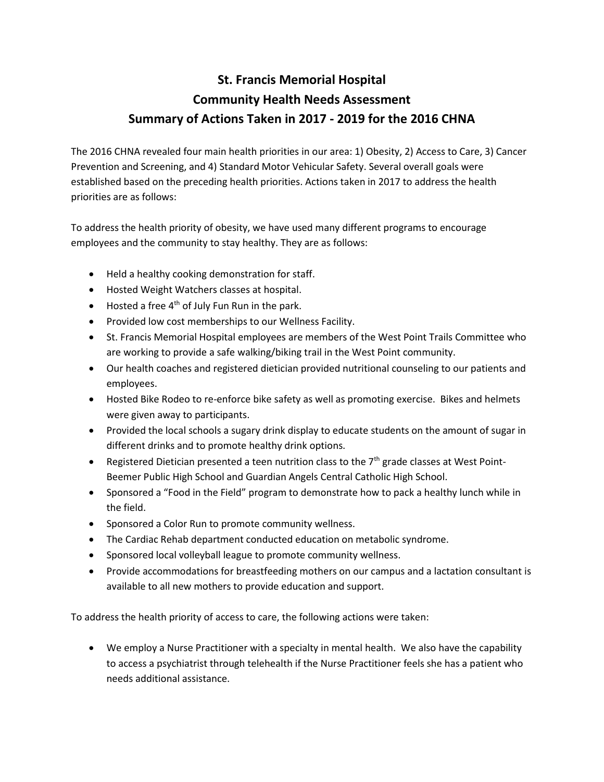## **St. Francis Memorial Hospital Community Health Needs Assessment Summary of Actions Taken in 2017 - 2019 for the 2016 CHNA**

The 2016 CHNA revealed four main health priorities in our area: 1) Obesity, 2) Access to Care, 3) Cancer Prevention and Screening, and 4) Standard Motor Vehicular Safety. Several overall goals were established based on the preceding health priorities. Actions taken in 2017 to address the health priorities are as follows:

To address the health priority of obesity, we have used many different programs to encourage employees and the community to stay healthy. They are as follows:

- Held a healthy cooking demonstration for staff.
- Hosted Weight Watchers classes at hospital.
- $\bullet$  Hosted a free 4<sup>th</sup> of July Fun Run in the park.
- Provided low cost memberships to our Wellness Facility.
- St. Francis Memorial Hospital employees are members of the West Point Trails Committee who are working to provide a safe walking/biking trail in the West Point community.
- Our health coaches and registered dietician provided nutritional counseling to our patients and employees.
- Hosted Bike Rodeo to re-enforce bike safety as well as promoting exercise. Bikes and helmets were given away to participants.
- Provided the local schools a sugary drink display to educate students on the amount of sugar in different drinks and to promote healthy drink options.
- Registered Dietician presented a teen nutrition class to the 7<sup>th</sup> grade classes at West Point-Beemer Public High School and Guardian Angels Central Catholic High School.
- Sponsored a "Food in the Field" program to demonstrate how to pack a healthy lunch while in the field.
- Sponsored a Color Run to promote community wellness.
- The Cardiac Rehab department conducted education on metabolic syndrome.
- Sponsored local volleyball league to promote community wellness.
- Provide accommodations for breastfeeding mothers on our campus and a lactation consultant is available to all new mothers to provide education and support.

To address the health priority of access to care, the following actions were taken:

• We employ a Nurse Practitioner with a specialty in mental health. We also have the capability to access a psychiatrist through telehealth if the Nurse Practitioner feels she has a patient who needs additional assistance.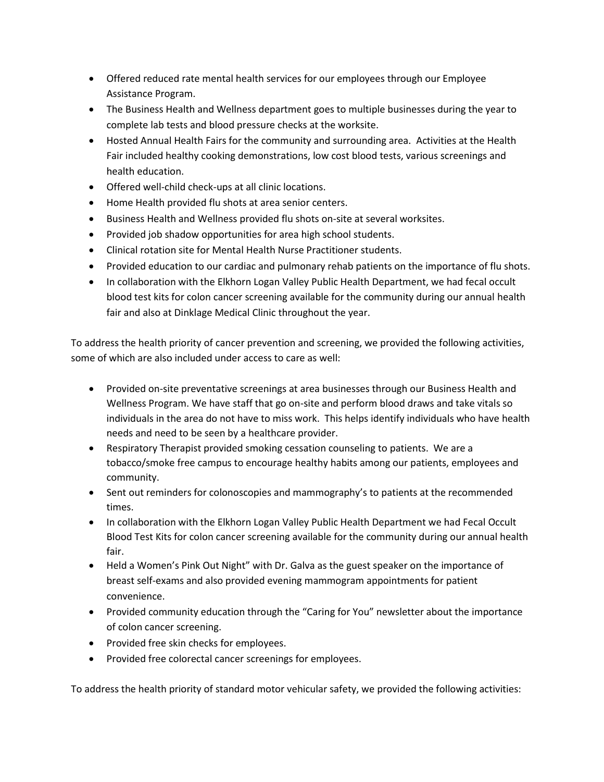- Offered reduced rate mental health services for our employees through our Employee Assistance Program.
- The Business Health and Wellness department goes to multiple businesses during the year to complete lab tests and blood pressure checks at the worksite.
- Hosted Annual Health Fairs for the community and surrounding area. Activities at the Health Fair included healthy cooking demonstrations, low cost blood tests, various screenings and health education.
- Offered well-child check-ups at all clinic locations.
- Home Health provided flu shots at area senior centers.
- Business Health and Wellness provided flu shots on-site at several worksites.
- Provided job shadow opportunities for area high school students.
- Clinical rotation site for Mental Health Nurse Practitioner students.
- Provided education to our cardiac and pulmonary rehab patients on the importance of flu shots.
- In collaboration with the Elkhorn Logan Valley Public Health Department, we had fecal occult blood test kits for colon cancer screening available for the community during our annual health fair and also at Dinklage Medical Clinic throughout the year.

To address the health priority of cancer prevention and screening, we provided the following activities, some of which are also included under access to care as well:

- Provided on-site preventative screenings at area businesses through our Business Health and Wellness Program. We have staff that go on-site and perform blood draws and take vitals so individuals in the area do not have to miss work. This helps identify individuals who have health needs and need to be seen by a healthcare provider.
- Respiratory Therapist provided smoking cessation counseling to patients. We are a tobacco/smoke free campus to encourage healthy habits among our patients, employees and community.
- Sent out reminders for colonoscopies and mammography's to patients at the recommended times.
- In collaboration with the Elkhorn Logan Valley Public Health Department we had Fecal Occult Blood Test Kits for colon cancer screening available for the community during our annual health fair.
- Held a Women's Pink Out Night" with Dr. Galva as the guest speaker on the importance of breast self-exams and also provided evening mammogram appointments for patient convenience.
- Provided community education through the "Caring for You" newsletter about the importance of colon cancer screening.
- Provided free skin checks for employees.
- Provided free colorectal cancer screenings for employees.

To address the health priority of standard motor vehicular safety, we provided the following activities: